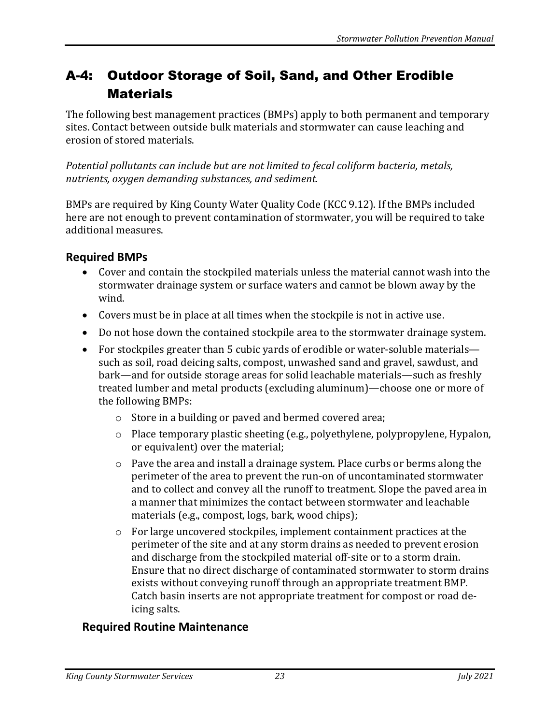## A-4: Outdoor Storage of Soil, Sand, and Other Erodible **Materials**

The following best management practices (BMPs) apply to both permanent and temporary sites. Contact between outside bulk materials and stormwater can cause leaching and erosion of stored materials.

*Potential pollutants can include but are not limited to fecal coliform bacteria, metals, nutrients, oxygen demanding substances, and sediment.* 

BMPs are required by King County Water Quality Code (KCC 9.12). If the BMPs included here are not enough to prevent contamination of stormwater, you will be required to take additional measures.

## **Required BMPs**

- Cover and contain the stockpiled materials unless the material cannot wash into the stormwater drainage system or surface waters and cannot be blown away by the wind.
- Covers must be in place at all times when the stockpile is not in active use.
- Do not hose down the contained stockpile area to the stormwater drainage system.
- For stockpiles greater than 5 cubic vards of erodible or water-soluble materials such as soil, road deicing salts, compost, unwashed sand and gravel, sawdust, and bark—and for outside storage areas for solid leachable materials—such as freshly treated lumber and metal products (excluding aluminum)—choose one or more of the following BMPs:
	- o Store in a building or paved and bermed covered area;
	- o Place temporary plastic sheeting (e.g., polyethylene, polypropylene, Hypalon, or equivalent) over the material;
	- o Pave the area and install a drainage system. Place curbs or berms along the perimeter of the area to prevent the run-on of uncontaminated stormwater and to collect and convey all the runoff to treatment. Slope the paved area in a manner that minimizes the contact between stormwater and leachable materials (e.g., compost, logs, bark, wood chips);
	- o For large uncovered stockpiles, implement containment practices at the perimeter of the site and at any storm drains as needed to prevent erosion and discharge from the stockpiled material off-site or to a storm drain. Ensure that no direct discharge of contaminated stormwater to storm drains exists without conveying runoff through an appropriate treatment BMP. Catch basin inserts are not appropriate treatment for compost or road deicing salts.

## **Required Routine Maintenance**